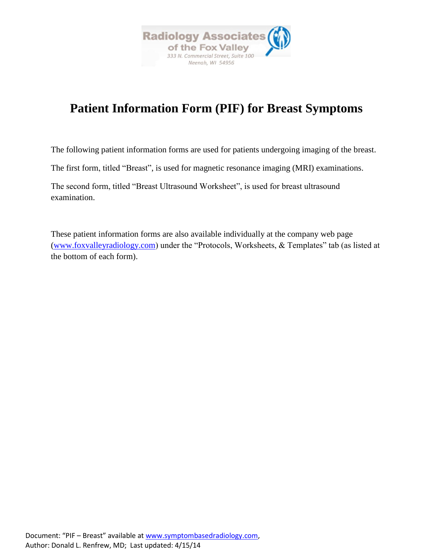

# **Patient Information Form (PIF) for Breast Symptoms**

The following patient information forms are used for patients undergoing imaging of the breast.

The first form, titled "Breast", is used for magnetic resonance imaging (MRI) examinations.

The second form, titled "Breast Ultrasound Worksheet", is used for breast ultrasound examination.

These patient information forms are also available individually at the company web page [\(www.foxvalleyradiology.com\)](http://www.foxvalleyradiology.com/) under the "Protocols, Worksheets, & Templates" tab (as listed at the bottom of each form).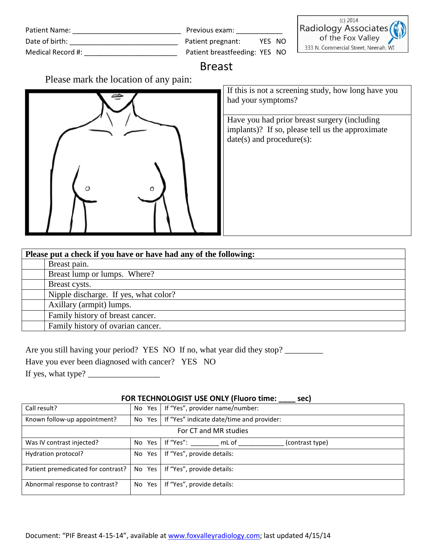| Patient Name:     | Previous exam:                | (c) $2014$<br>Radiology Associates   |
|-------------------|-------------------------------|--------------------------------------|
| Date of birth:    | YES NO<br>Patient pregnant:   | of the Fox Valley                    |
| Medical Record #: | Patient breastfeeding: YES NO | 333 N. Commercial Street, Neenah, WI |

## Breast

Please mark the location of any pain:



If this is not a screening study, how long have you had your symptoms?

Have you had prior breast surgery (including implants)? If so, please tell us the approximate date(s) and procedure(s):

| Please put a check if you have or have had any of the following: |                                       |  |  |
|------------------------------------------------------------------|---------------------------------------|--|--|
|                                                                  | Breast pain.                          |  |  |
|                                                                  | Breast lump or lumps. Where?          |  |  |
|                                                                  | Breast cysts.                         |  |  |
|                                                                  | Nipple discharge. If yes, what color? |  |  |
|                                                                  | Axillary (armpit) lumps.              |  |  |
|                                                                  | Family history of breast cancer.      |  |  |
|                                                                  | Family history of ovarian cancer.     |  |  |
|                                                                  |                                       |  |  |

Are you still having your period? YES NO If no, what year did they stop? \_\_\_\_\_\_\_\_

Have you ever been diagnosed with cancer? YES NO

If yes, what type?  $\frac{1}{\sqrt{1-\frac{1}{2}}}\$ 

#### **FOR TECHNOLOGIST USE ONLY (Fluoro time: \_\_\_\_ sec)**

| Call result?                       |        | No Yes   If "Yes", provider name/number:           |  |  |
|------------------------------------|--------|----------------------------------------------------|--|--|
| Known follow-up appointment?       |        | No Yes   If "Yes" indicate date/time and provider: |  |  |
| For CT and MR studies              |        |                                                    |  |  |
| Was IV contrast injected?          |        | No Yes If "Yes":<br>mL of<br>(contrast type)       |  |  |
| Hydration protocol?                |        | No Yes   If "Yes", provide details:                |  |  |
| Patient premedicated for contrast? |        | No Yes   If "Yes", provide details:                |  |  |
| Abnormal response to contrast?     | No Yes | If "Yes", provide details:                         |  |  |